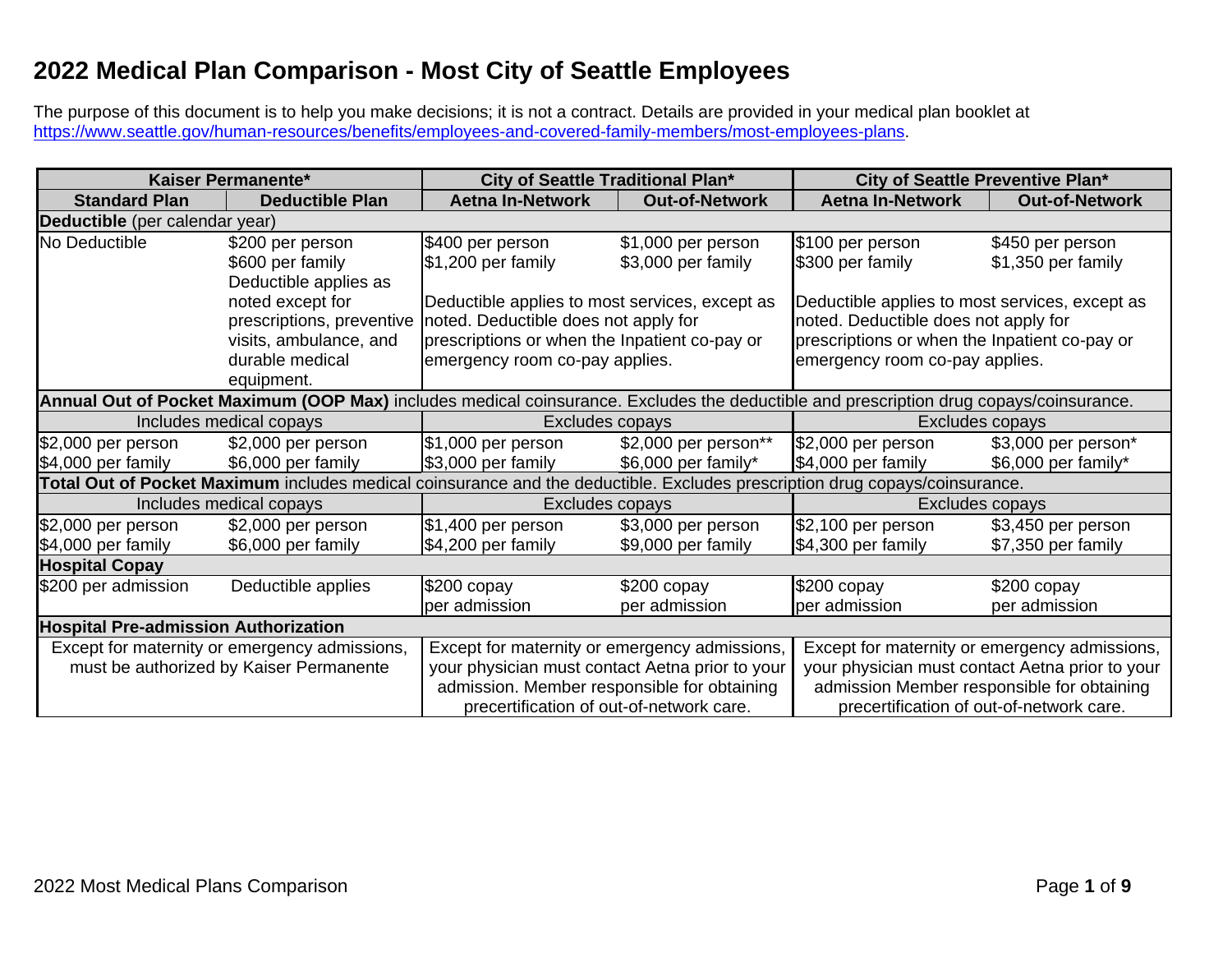## **2022 Medical Plan Comparison - Most City of Seattle Employees**

The purpose of this document is to help you make decisions; it is not a contract. Details are provided in your medical plan booklet at [https://www.seattle.gov/human-resources/benefits/employees-and-covered-family-members/most-employees-plans.](https://www.seattle.gov/human-resources/benefits/employees-and-covered-family-members/most-employees-plans)

| Kaiser Permanente*                                                                                                                     |                                                                                                                             | City of Seattle Traditional Plan*               |                       | City of Seattle Preventive Plan*                |                       |  |
|----------------------------------------------------------------------------------------------------------------------------------------|-----------------------------------------------------------------------------------------------------------------------------|-------------------------------------------------|-----------------------|-------------------------------------------------|-----------------------|--|
| <b>Standard Plan</b>                                                                                                                   | <b>Deductible Plan</b>                                                                                                      | <b>Aetna In-Network</b>                         | <b>Out-of-Network</b> | <b>Aetna In-Network</b>                         | <b>Out-of-Network</b> |  |
| Deductible (per calendar year)                                                                                                         |                                                                                                                             |                                                 |                       |                                                 |                       |  |
| No Deductible                                                                                                                          | \$200 per person                                                                                                            | \$400 per person                                | \$1,000 per person    | \$100 per person                                | \$450 per person      |  |
|                                                                                                                                        | \$600 per family                                                                                                            | $$1,200$ per family                             | \$3,000 per family    | \$300 per family                                | \$1,350 per family    |  |
|                                                                                                                                        | Deductible applies as                                                                                                       |                                                 |                       |                                                 |                       |  |
|                                                                                                                                        | noted except for                                                                                                            | Deductible applies to most services, except as  |                       | Deductible applies to most services, except as  |                       |  |
|                                                                                                                                        | prescriptions, preventive                                                                                                   | noted. Deductible does not apply for            |                       | noted. Deductible does not apply for            |                       |  |
|                                                                                                                                        | visits, ambulance, and                                                                                                      | prescriptions or when the Inpatient co-pay or   |                       | prescriptions or when the Inpatient co-pay or   |                       |  |
|                                                                                                                                        | durable medical                                                                                                             | emergency room co-pay applies.                  |                       | emergency room co-pay applies.                  |                       |  |
|                                                                                                                                        | equipment.                                                                                                                  |                                                 |                       |                                                 |                       |  |
| Annual Out of Pocket Maximum (OOP Max) includes medical coinsurance. Excludes the deductible and prescription drug copays/coinsurance. |                                                                                                                             |                                                 |                       |                                                 |                       |  |
|                                                                                                                                        | Includes medical copays                                                                                                     | Excludes copays                                 |                       | Excludes copays                                 |                       |  |
| \$2,000 per person                                                                                                                     | \$2,000 per person                                                                                                          | \$1,000 per person                              | \$2,000 per person**  | $$2,000$ per person                             | \$3,000 per person*   |  |
| \$4,000 per family                                                                                                                     | \$6,000 per family                                                                                                          | \$3,000 per family                              | \$6,000 per family*   | \$4,000 per family                              | \$6,000 per family*   |  |
|                                                                                                                                        | Total Out of Pocket Maximum includes medical coinsurance and the deductible. Excludes prescription drug copays/coinsurance. |                                                 |                       |                                                 |                       |  |
|                                                                                                                                        | Includes medical copays                                                                                                     | Excludes copays                                 |                       | Excludes copays                                 |                       |  |
| \$2,000 per person                                                                                                                     | \$2,000 per person                                                                                                          | \$1,400 per person                              | \$3,000 per person    | \$2,100 per person                              | \$3,450 per person    |  |
| \$4,000 per family                                                                                                                     | \$6,000 per family                                                                                                          | \$4,200 per family                              | \$9,000 per family    | \$4,300 per family                              | \$7,350 per family    |  |
| <b>Hospital Copay</b>                                                                                                                  |                                                                                                                             |                                                 |                       |                                                 |                       |  |
| \$200 per admission                                                                                                                    | Deductible applies                                                                                                          | $$200$ copay                                    | $$200$ copay          | $$200$ copay                                    | $$200$ copay          |  |
|                                                                                                                                        |                                                                                                                             | per admission                                   | per admission         | per admission                                   | per admission         |  |
| <b>Hospital Pre-admission Authorization</b>                                                                                            |                                                                                                                             |                                                 |                       |                                                 |                       |  |
|                                                                                                                                        | Except for maternity or emergency admissions,                                                                               | Except for maternity or emergency admissions,   |                       | Except for maternity or emergency admissions,   |                       |  |
|                                                                                                                                        | must be authorized by Kaiser Permanente                                                                                     | your physician must contact Aetna prior to your |                       | your physician must contact Aetna prior to your |                       |  |
|                                                                                                                                        |                                                                                                                             | admission. Member responsible for obtaining     |                       | admission Member responsible for obtaining      |                       |  |
|                                                                                                                                        |                                                                                                                             | precertification of out-of-network care.        |                       | precertification of out-of-network care.        |                       |  |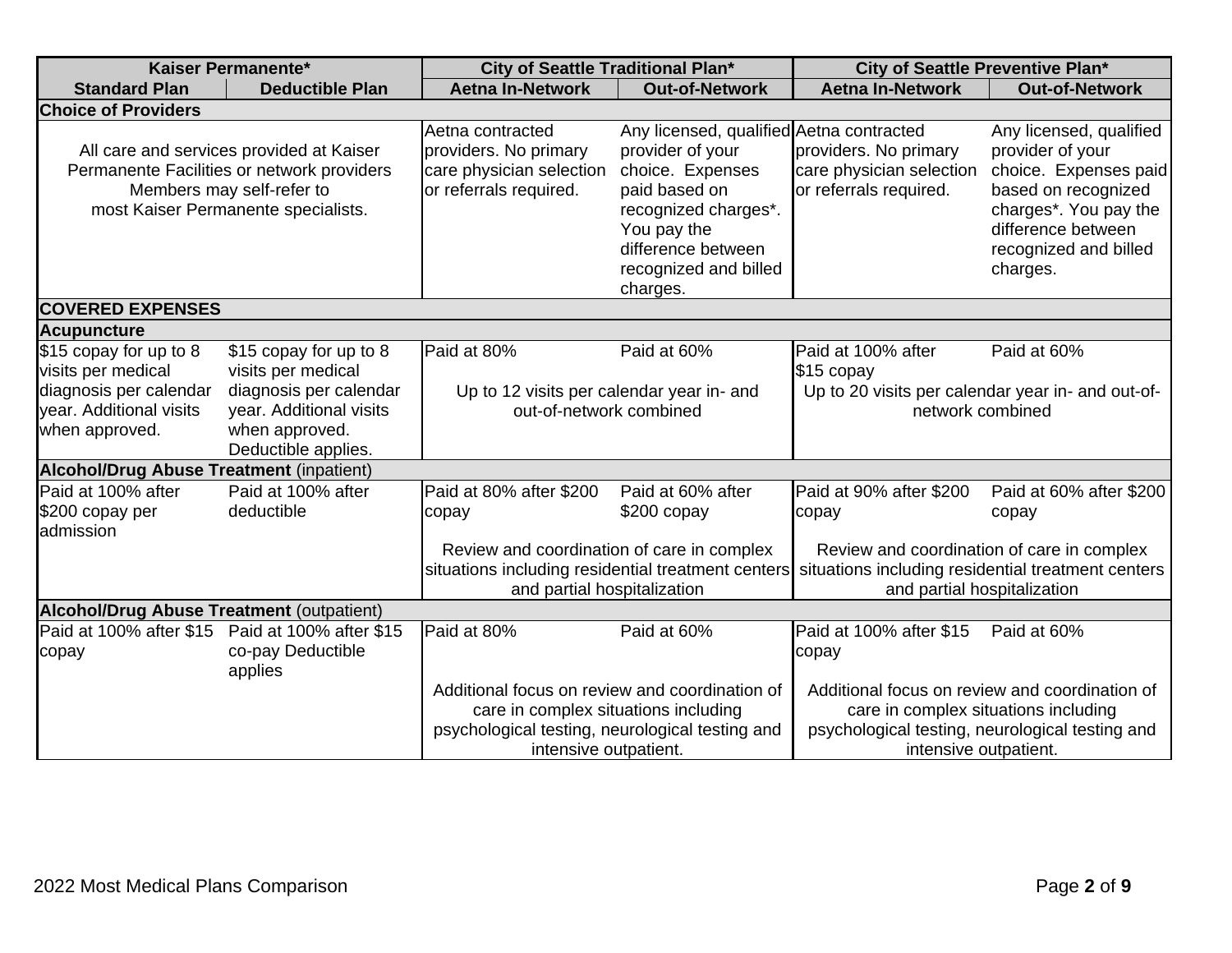| Kaiser Permanente*                                                                                                  |                                                                                                                                                            | City of Seattle Traditional Plan*                                                                             |                                                                                                                                                                                                     | City of Seattle Preventive Plan*                                                                                                                                                                                       |                                                                                                                                                                                 |  |  |
|---------------------------------------------------------------------------------------------------------------------|------------------------------------------------------------------------------------------------------------------------------------------------------------|---------------------------------------------------------------------------------------------------------------|-----------------------------------------------------------------------------------------------------------------------------------------------------------------------------------------------------|------------------------------------------------------------------------------------------------------------------------------------------------------------------------------------------------------------------------|---------------------------------------------------------------------------------------------------------------------------------------------------------------------------------|--|--|
| <b>Standard Plan</b>                                                                                                | <b>Deductible Plan</b>                                                                                                                                     | <b>Aetna In-Network</b>                                                                                       | <b>Out-of-Network</b>                                                                                                                                                                               | <b>Aetna In-Network</b>                                                                                                                                                                                                | <b>Out-of-Network</b>                                                                                                                                                           |  |  |
| <b>Choice of Providers</b>                                                                                          |                                                                                                                                                            |                                                                                                               |                                                                                                                                                                                                     |                                                                                                                                                                                                                        |                                                                                                                                                                                 |  |  |
|                                                                                                                     | All care and services provided at Kaiser<br>Permanente Facilities or network providers<br>Members may self-refer to<br>most Kaiser Permanente specialists. | Aetna contracted<br>providers. No primary<br>care physician selection<br>or referrals required.               | Any licensed, qualified Aetna contracted<br>provider of your<br>choice. Expenses<br>paid based on<br>recognized charges*.<br>You pay the<br>difference between<br>recognized and billed<br>charges. | providers. No primary<br>care physician selection<br>or referrals required.                                                                                                                                            | Any licensed, qualified<br>provider of your<br>choice. Expenses paid<br>based on recognized<br>charges*. You pay the<br>difference between<br>recognized and billed<br>charges. |  |  |
|                                                                                                                     | <b>COVERED EXPENSES</b>                                                                                                                                    |                                                                                                               |                                                                                                                                                                                                     |                                                                                                                                                                                                                        |                                                                                                                                                                                 |  |  |
| <b>Acupuncture</b>                                                                                                  |                                                                                                                                                            |                                                                                                               |                                                                                                                                                                                                     |                                                                                                                                                                                                                        |                                                                                                                                                                                 |  |  |
| \$15 copay for up to 8<br>visits per medical<br>diagnosis per calendar<br>year. Additional visits<br>when approved. | \$15 copay for up to 8<br>visits per medical<br>diagnosis per calendar<br>year. Additional visits<br>when approved.<br>Deductible applies.                 | Paid at 80%<br>Paid at 60%<br>Up to 12 visits per calendar year in- and<br>out-of-network combined            |                                                                                                                                                                                                     | Paid at 100% after<br>Paid at 60%<br>\$15 copay<br>Up to 20 visits per calendar year in- and out-of-<br>network combined                                                                                               |                                                                                                                                                                                 |  |  |
| <b>Alcohol/Drug Abuse Treatment (inpatient)</b>                                                                     |                                                                                                                                                            |                                                                                                               |                                                                                                                                                                                                     |                                                                                                                                                                                                                        |                                                                                                                                                                                 |  |  |
| Paid at 100% after<br>\$200 copay per<br>admission                                                                  | Paid at 100% after<br>deductible                                                                                                                           | Paid at 80% after \$200<br>copay<br>Review and coordination of care in complex<br>and partial hospitalization | Paid at 60% after<br>$$200$ copay                                                                                                                                                                   | Paid at 90% after \$200<br>copay<br>Review and coordination of care in complex<br>situations including residential treatment centers situations including residential treatment centers<br>and partial hospitalization | Paid at 60% after \$200<br>copay                                                                                                                                                |  |  |
| <b>Alcohol/Drug Abuse Treatment (outpatient)</b>                                                                    |                                                                                                                                                            |                                                                                                               |                                                                                                                                                                                                     |                                                                                                                                                                                                                        |                                                                                                                                                                                 |  |  |
| Paid at 100% after \$15<br>copay                                                                                    | Paid at 100% after \$15<br>co-pay Deductible<br>applies                                                                                                    | Paid at 80%<br>Additional focus on review and coordination of<br>care in complex situations including         | Paid at 60%                                                                                                                                                                                         | Paid at 100% after \$15<br>copay<br>Additional focus on review and coordination of<br>care in complex situations including                                                                                             | Paid at 60%                                                                                                                                                                     |  |  |
|                                                                                                                     |                                                                                                                                                            | psychological testing, neurological testing and<br>intensive outpatient.                                      |                                                                                                                                                                                                     | psychological testing, neurological testing and<br>intensive outpatient.                                                                                                                                               |                                                                                                                                                                                 |  |  |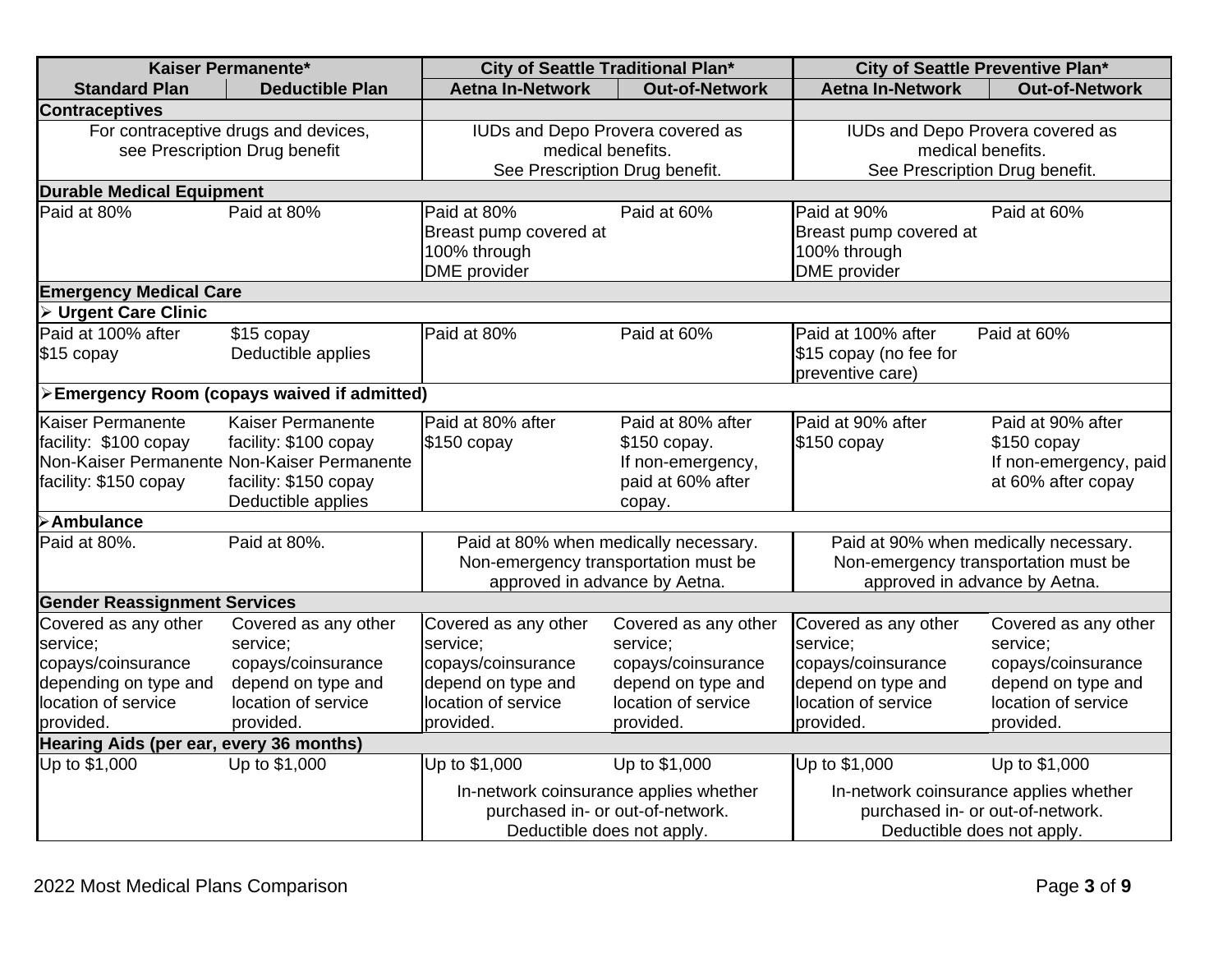| Kaiser Permanente*                                                                                                  |                                                                                                                                          | City of Seattle Traditional Plan*                                                                                         |                                                                                                                  | City of Seattle Preventive Plan*                                                                                 |                                                                                                                           |  |  |
|---------------------------------------------------------------------------------------------------------------------|------------------------------------------------------------------------------------------------------------------------------------------|---------------------------------------------------------------------------------------------------------------------------|------------------------------------------------------------------------------------------------------------------|------------------------------------------------------------------------------------------------------------------|---------------------------------------------------------------------------------------------------------------------------|--|--|
| <b>Standard Plan</b>                                                                                                | <b>Deductible Plan</b>                                                                                                                   | <b>Aetna In-Network</b>                                                                                                   | <b>Out-of-Network</b>                                                                                            | <b>Aetna In-Network</b>                                                                                          | <b>Out-of-Network</b>                                                                                                     |  |  |
| <b>Contraceptives</b>                                                                                               |                                                                                                                                          |                                                                                                                           |                                                                                                                  |                                                                                                                  |                                                                                                                           |  |  |
| For contraceptive drugs and devices,<br>see Prescription Drug benefit                                               |                                                                                                                                          | IUDs and Depo Provera covered as<br>medical benefits.<br>See Prescription Drug benefit.                                   |                                                                                                                  | IUDs and Depo Provera covered as<br>medical benefits.<br>See Prescription Drug benefit.                          |                                                                                                                           |  |  |
| <b>Durable Medical Equipment</b>                                                                                    |                                                                                                                                          |                                                                                                                           |                                                                                                                  |                                                                                                                  |                                                                                                                           |  |  |
| Paid at 80%                                                                                                         | Paid at 80%                                                                                                                              | Paid at 80%<br>Breast pump covered at<br>100% through<br><b>DME</b> provider                                              | Paid at 60%                                                                                                      | Paid at 90%<br>Breast pump covered at<br>100% through<br><b>DME</b> provider                                     | Paid at 60%                                                                                                               |  |  |
| <b>Emergency Medical Care</b>                                                                                       |                                                                                                                                          |                                                                                                                           |                                                                                                                  |                                                                                                                  |                                                                                                                           |  |  |
| <b>Urgent Care Clinic</b>                                                                                           |                                                                                                                                          |                                                                                                                           |                                                                                                                  |                                                                                                                  |                                                                                                                           |  |  |
| Paid at 100% after<br>\$15 copay                                                                                    | \$15 copay<br>Deductible applies                                                                                                         | Paid at 80%                                                                                                               | Paid at 60%                                                                                                      | Paid at 100% after<br>\$15 copay (no fee for<br>preventive care)                                                 | Paid at 60%                                                                                                               |  |  |
|                                                                                                                     | >Emergency Room (copays waived if admitted)                                                                                              |                                                                                                                           |                                                                                                                  |                                                                                                                  |                                                                                                                           |  |  |
| <b>Kaiser Permanente</b><br>facility: \$100 copay<br>facility: \$150 copay                                          | Kaiser Permanente<br>facility: \$100 copay<br>Non-Kaiser Permanente Non-Kaiser Permanente<br>facility: \$150 copay<br>Deductible applies | Paid at 80% after<br>$$150$ copay                                                                                         | Paid at 80% after<br>\$150 copay.<br>If non-emergency,<br>paid at 60% after<br>copay.                            | Paid at 90% after<br>$$150$ copay                                                                                | Paid at 90% after<br>$$150$ copay<br>If non-emergency, paid<br>at 60% after copay                                         |  |  |
| <b>&gt;Ambulance</b>                                                                                                |                                                                                                                                          |                                                                                                                           |                                                                                                                  |                                                                                                                  |                                                                                                                           |  |  |
| Paid at 80%.                                                                                                        | Paid at 80%.                                                                                                                             | Paid at 80% when medically necessary.<br>Non-emergency transportation must be<br>approved in advance by Aetna.            |                                                                                                                  | Paid at 90% when medically necessary.<br>Non-emergency transportation must be<br>approved in advance by Aetna.   |                                                                                                                           |  |  |
| <b>Gender Reassignment Services</b>                                                                                 |                                                                                                                                          |                                                                                                                           |                                                                                                                  |                                                                                                                  |                                                                                                                           |  |  |
| Covered as any other<br>service;<br>copays/coinsurance<br>depending on type and<br>location of service<br>provided. | Covered as any other<br>service;<br>copays/coinsurance<br>depend on type and<br>location of service<br>provided.                         | Covered as any other<br>service;<br>copays/coinsurance<br>depend on type and<br>location of service<br>provided.          | Covered as any other<br>service;<br>copays/coinsurance<br>depend on type and<br>location of service<br>provided. | Covered as any other<br>service;<br>copays/coinsurance<br>depend on type and<br>location of service<br>provided. | Covered as any other<br>service;<br>copays/coinsurance<br>depend on type and<br>location of service<br>provided.          |  |  |
| Hearing Aids (per ear, every 36 months)                                                                             |                                                                                                                                          |                                                                                                                           |                                                                                                                  |                                                                                                                  |                                                                                                                           |  |  |
| Up to \$1,000                                                                                                       | Up to \$1,000                                                                                                                            | Up to \$1,000<br>In-network coinsurance applies whether<br>purchased in- or out-of-network.<br>Deductible does not apply. | Up to \$1,000                                                                                                    | Up to \$1,000                                                                                                    | Up to \$1,000<br>In-network coinsurance applies whether<br>purchased in- or out-of-network.<br>Deductible does not apply. |  |  |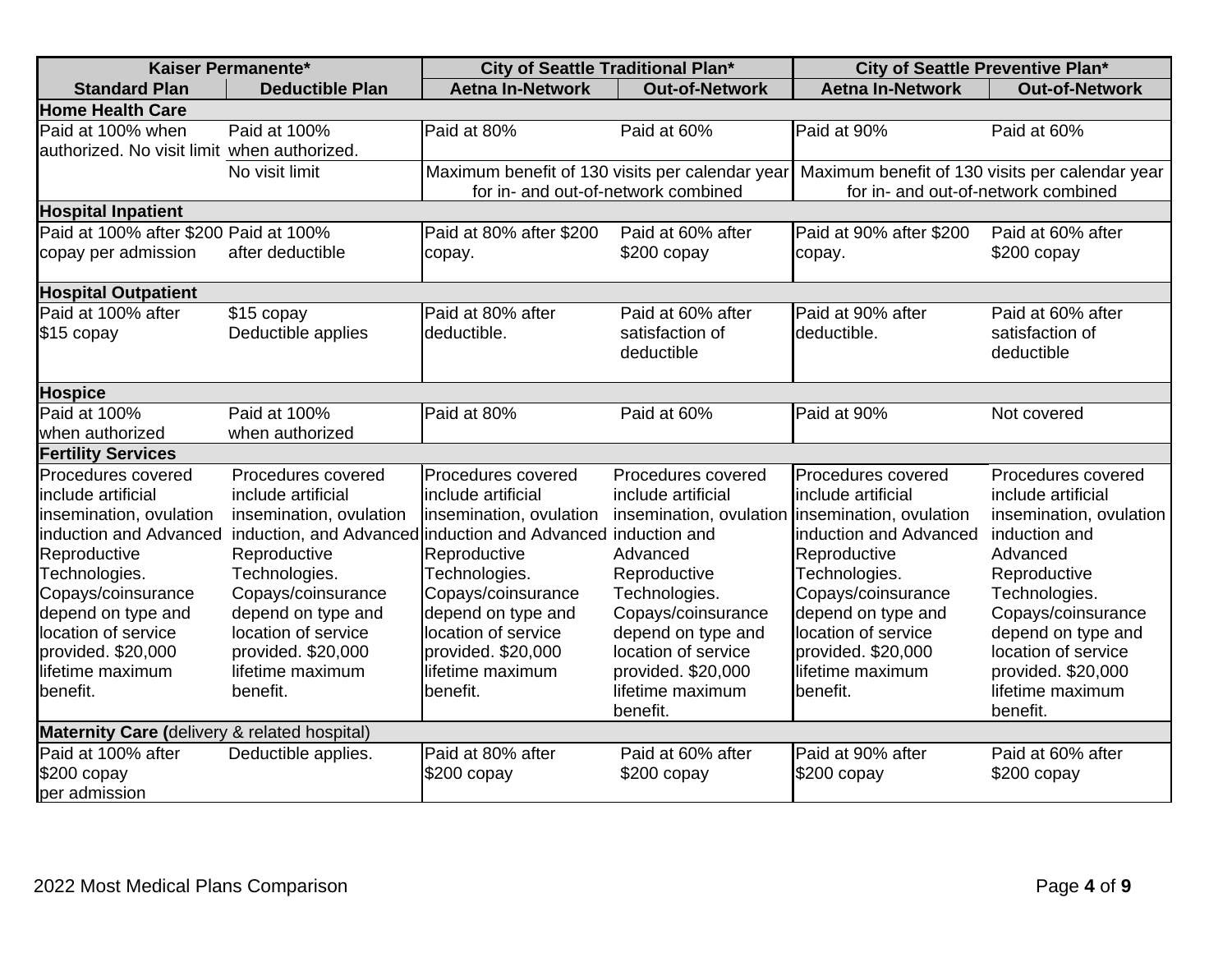|                                                                                                                                                                                                                                                         | Kaiser Permanente*                                                                                                                                                                                                                                                                            | City of Seattle Traditional Plan*                                                                                                                                                                                             |                                                                                                                                                                                                                                                                    | City of Seattle Preventive Plan*                                                                                                                                                                                             |                                                                                                                                                                                                                                                            |
|---------------------------------------------------------------------------------------------------------------------------------------------------------------------------------------------------------------------------------------------------------|-----------------------------------------------------------------------------------------------------------------------------------------------------------------------------------------------------------------------------------------------------------------------------------------------|-------------------------------------------------------------------------------------------------------------------------------------------------------------------------------------------------------------------------------|--------------------------------------------------------------------------------------------------------------------------------------------------------------------------------------------------------------------------------------------------------------------|------------------------------------------------------------------------------------------------------------------------------------------------------------------------------------------------------------------------------|------------------------------------------------------------------------------------------------------------------------------------------------------------------------------------------------------------------------------------------------------------|
| <b>Standard Plan</b>                                                                                                                                                                                                                                    | <b>Deductible Plan</b>                                                                                                                                                                                                                                                                        | <b>Aetna In-Network</b>                                                                                                                                                                                                       | <b>Out-of-Network</b>                                                                                                                                                                                                                                              | <b>Aetna In-Network</b>                                                                                                                                                                                                      | <b>Out-of-Network</b>                                                                                                                                                                                                                                      |
| <b>Home Health Care</b>                                                                                                                                                                                                                                 |                                                                                                                                                                                                                                                                                               |                                                                                                                                                                                                                               |                                                                                                                                                                                                                                                                    |                                                                                                                                                                                                                              |                                                                                                                                                                                                                                                            |
| Paid at 100% when<br>authorized. No visit limit when authorized.                                                                                                                                                                                        | Paid at 100%                                                                                                                                                                                                                                                                                  | Paid at 80%                                                                                                                                                                                                                   | Paid at 60%                                                                                                                                                                                                                                                        | Paid at 90%                                                                                                                                                                                                                  | Paid at 60%                                                                                                                                                                                                                                                |
|                                                                                                                                                                                                                                                         | No visit limit                                                                                                                                                                                                                                                                                | Maximum benefit of 130 visits per calendar year<br>for in- and out-of-network combined                                                                                                                                        |                                                                                                                                                                                                                                                                    | Maximum benefit of 130 visits per calendar year<br>for in- and out-of-network combined                                                                                                                                       |                                                                                                                                                                                                                                                            |
| <b>Hospital Inpatient</b>                                                                                                                                                                                                                               |                                                                                                                                                                                                                                                                                               |                                                                                                                                                                                                                               |                                                                                                                                                                                                                                                                    |                                                                                                                                                                                                                              |                                                                                                                                                                                                                                                            |
| Paid at 100% after \$200 Paid at 100%                                                                                                                                                                                                                   |                                                                                                                                                                                                                                                                                               | Paid at 80% after \$200                                                                                                                                                                                                       | Paid at 60% after                                                                                                                                                                                                                                                  | Paid at 90% after \$200                                                                                                                                                                                                      | Paid at 60% after                                                                                                                                                                                                                                          |
| copay per admission                                                                                                                                                                                                                                     | after deductible                                                                                                                                                                                                                                                                              | copay.                                                                                                                                                                                                                        | \$200 copay                                                                                                                                                                                                                                                        | copay.                                                                                                                                                                                                                       | \$200 copay                                                                                                                                                                                                                                                |
| <b>Hospital Outpatient</b>                                                                                                                                                                                                                              |                                                                                                                                                                                                                                                                                               |                                                                                                                                                                                                                               |                                                                                                                                                                                                                                                                    |                                                                                                                                                                                                                              |                                                                                                                                                                                                                                                            |
| Paid at 100% after<br>\$15 copay                                                                                                                                                                                                                        | \$15 copay<br>Deductible applies                                                                                                                                                                                                                                                              | Paid at 80% after<br>deductible.                                                                                                                                                                                              | Paid at 60% after<br>satisfaction of<br>deductible                                                                                                                                                                                                                 | Paid at 90% after<br>deductible.                                                                                                                                                                                             | Paid at 60% after<br>satisfaction of<br>deductible                                                                                                                                                                                                         |
| <b>Hospice</b>                                                                                                                                                                                                                                          |                                                                                                                                                                                                                                                                                               |                                                                                                                                                                                                                               |                                                                                                                                                                                                                                                                    |                                                                                                                                                                                                                              |                                                                                                                                                                                                                                                            |
| Paid at 100%<br>when authorized                                                                                                                                                                                                                         | Paid at 100%<br>when authorized                                                                                                                                                                                                                                                               | Paid at 80%                                                                                                                                                                                                                   | Paid at 60%                                                                                                                                                                                                                                                        | Paid at 90%                                                                                                                                                                                                                  | Not covered                                                                                                                                                                                                                                                |
| <b>Fertility Services</b>                                                                                                                                                                                                                               |                                                                                                                                                                                                                                                                                               |                                                                                                                                                                                                                               |                                                                                                                                                                                                                                                                    |                                                                                                                                                                                                                              |                                                                                                                                                                                                                                                            |
| Procedures covered<br>include artificial<br>insemination, ovulation<br>induction and Advanced<br>Reproductive<br>Technologies.<br>Copays/coinsurance<br>depend on type and<br>location of service<br>provided. \$20,000<br>lifetime maximum<br>benefit. | Procedures covered<br>include artificial<br>insemination, ovulation<br>induction, and Advanced induction and Advanced induction and<br>Reproductive<br>Technologies.<br>Copays/coinsurance<br>depend on type and<br>location of service<br>provided. \$20,000<br>lifetime maximum<br>benefit. | Procedures covered<br>include artificial<br>insemination, ovulation<br>Reproductive<br>Technologies.<br>Copays/coinsurance<br>depend on type and<br>location of service<br>provided. \$20,000<br>lifetime maximum<br>benefit. | Procedures covered<br>include artificial<br>insemination, ovulation linsemination, ovulation<br>Advanced<br>Reproductive<br>Technologies.<br>Copays/coinsurance<br>depend on type and<br>location of service<br>provided. \$20,000<br>lifetime maximum<br>benefit. | Procedures covered<br>include artificial<br>induction and Advanced<br>Reproductive<br>Technologies.<br>Copays/coinsurance<br>depend on type and<br>location of service<br>provided. \$20,000<br>lifetime maximum<br>benefit. | Procedures covered<br>include artificial<br>insemination, ovulation<br>induction and<br>Advanced<br>Reproductive<br>Technologies.<br>Copays/coinsurance<br>depend on type and<br>location of service<br>provided. \$20,000<br>lifetime maximum<br>benefit. |
| Maternity Care (delivery & related hospital)                                                                                                                                                                                                            |                                                                                                                                                                                                                                                                                               |                                                                                                                                                                                                                               |                                                                                                                                                                                                                                                                    |                                                                                                                                                                                                                              |                                                                                                                                                                                                                                                            |
| Paid at 100% after<br>\$200 copay<br>per admission                                                                                                                                                                                                      | Deductible applies.                                                                                                                                                                                                                                                                           | Paid at 80% after<br>$$200$ copay                                                                                                                                                                                             | Paid at 60% after<br>\$200 copay                                                                                                                                                                                                                                   | Paid at 90% after<br>\$200 copay                                                                                                                                                                                             | Paid at 60% after<br>$$200$ copay                                                                                                                                                                                                                          |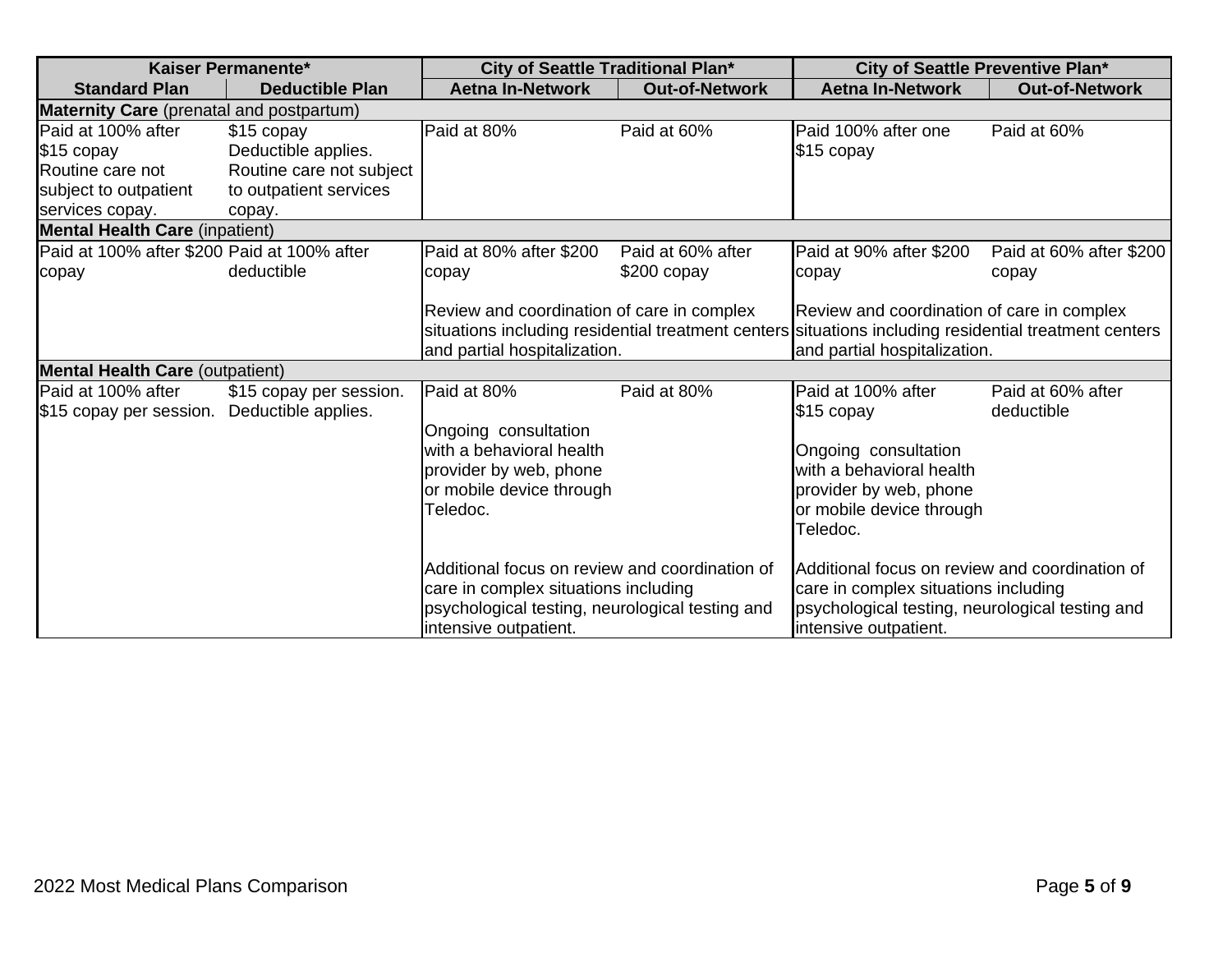| Kaiser Permanente*                                                                               |                                                                                                   | City of Seattle Traditional Plan*                                                                                                                                  |                                   | City of Seattle Preventive Plan*                                                                                                                                                    |                                  |
|--------------------------------------------------------------------------------------------------|---------------------------------------------------------------------------------------------------|--------------------------------------------------------------------------------------------------------------------------------------------------------------------|-----------------------------------|-------------------------------------------------------------------------------------------------------------------------------------------------------------------------------------|----------------------------------|
| <b>Standard Plan</b>                                                                             | <b>Deductible Plan</b>                                                                            | <b>Aetna In-Network</b>                                                                                                                                            | <b>Out-of-Network</b>             | <b>Aetna In-Network</b>                                                                                                                                                             | <b>Out-of-Network</b>            |
| <b>Maternity Care</b> (prenatal and postpartum)                                                  |                                                                                                   |                                                                                                                                                                    |                                   |                                                                                                                                                                                     |                                  |
| Paid at 100% after<br>\$15 copay<br>Routine care not<br>subject to outpatient<br>services copay. | \$15 copay<br>Deductible applies.<br>Routine care not subject<br>to outpatient services<br>copay. | Paid at 80%                                                                                                                                                        | Paid at 60%                       | Paid 100% after one<br>$$15$ copay                                                                                                                                                  | Paid at 60%                      |
| <b>Mental Health Care (inpatient)</b>                                                            |                                                                                                   |                                                                                                                                                                    |                                   |                                                                                                                                                                                     |                                  |
| Paid at 100% after \$200 Paid at 100% after<br>copay                                             | deductible                                                                                        | Paid at 80% after \$200<br>copay                                                                                                                                   | Paid at 60% after<br>$$200$ copay | Paid at 90% after \$200<br>copay                                                                                                                                                    | Paid at 60% after \$200<br>copay |
|                                                                                                  |                                                                                                   | Review and coordination of care in complex<br>and partial hospitalization.                                                                                         |                                   | Review and coordination of care in complex<br>situations including residential treatment centers situations including residential treatment centers<br>and partial hospitalization. |                                  |
| <b>Mental Health Care (outpatient)</b>                                                           |                                                                                                   |                                                                                                                                                                    |                                   |                                                                                                                                                                                     |                                  |
| Paid at 100% after<br>\$15 copay per session.                                                    | \$15 copay per session.<br>Deductible applies.                                                    | Paid at 80%<br>Ongoing consultation<br>with a behavioral health<br>provider by web, phone<br>or mobile device through<br>Teledoc.                                  | Paid at 80%                       | Paid at 100% after<br>\$15 copay<br>Ongoing consultation<br>with a behavioral health<br>provider by web, phone<br>or mobile device through<br>Teledoc.                              | Paid at 60% after<br>deductible  |
|                                                                                                  |                                                                                                   | Additional focus on review and coordination of<br>care in complex situations including<br>psychological testing, neurological testing and<br>intensive outpatient. |                                   | Additional focus on review and coordination of<br>care in complex situations including<br>psychological testing, neurological testing and<br>intensive outpatient.                  |                                  |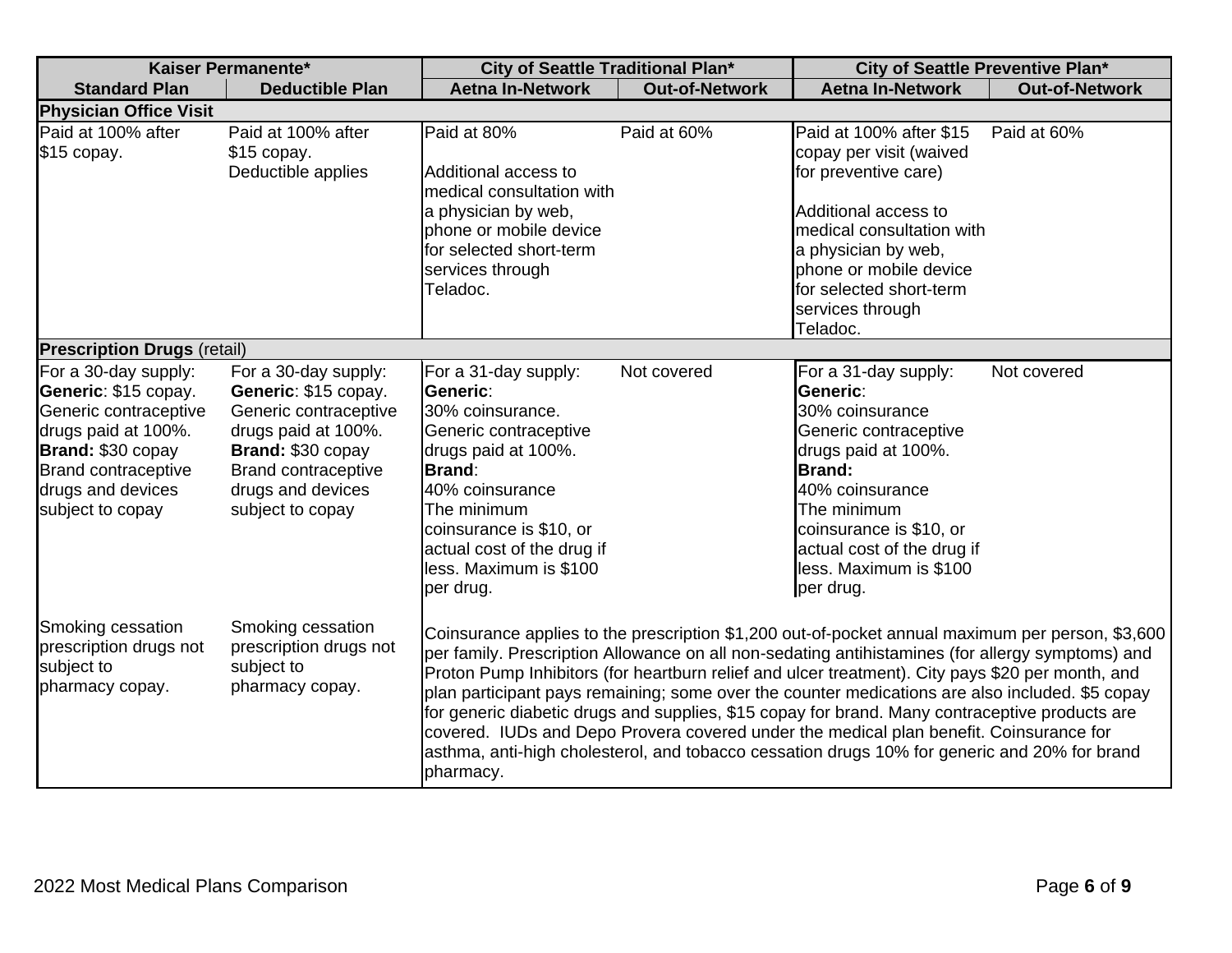| Kaiser Permanente*                                                                                                                                                                       |                                                                                                                                                                                          | City of Seattle Traditional Plan*                                                                                                                                                                                                                                                                                                                                                                                                                                                                                                                                                                                                                                                                                    |                       | City of Seattle Preventive Plan*                                                                                                                                                                                                                       |                       |
|------------------------------------------------------------------------------------------------------------------------------------------------------------------------------------------|------------------------------------------------------------------------------------------------------------------------------------------------------------------------------------------|----------------------------------------------------------------------------------------------------------------------------------------------------------------------------------------------------------------------------------------------------------------------------------------------------------------------------------------------------------------------------------------------------------------------------------------------------------------------------------------------------------------------------------------------------------------------------------------------------------------------------------------------------------------------------------------------------------------------|-----------------------|--------------------------------------------------------------------------------------------------------------------------------------------------------------------------------------------------------------------------------------------------------|-----------------------|
| <b>Standard Plan</b>                                                                                                                                                                     | <b>Deductible Plan</b>                                                                                                                                                                   | <b>Aetna In-Network</b>                                                                                                                                                                                                                                                                                                                                                                                                                                                                                                                                                                                                                                                                                              | <b>Out-of-Network</b> | <b>Aetna In-Network</b>                                                                                                                                                                                                                                | <b>Out-of-Network</b> |
| <b>Physician Office Visit</b>                                                                                                                                                            |                                                                                                                                                                                          |                                                                                                                                                                                                                                                                                                                                                                                                                                                                                                                                                                                                                                                                                                                      |                       |                                                                                                                                                                                                                                                        |                       |
| Paid at 100% after<br>\$15 copay.                                                                                                                                                        | Paid at 100% after<br>\$15 copay.<br>Deductible applies                                                                                                                                  | Paid at 80%<br>Additional access to<br>medical consultation with<br>a physician by web,<br>phone or mobile device<br>for selected short-term<br>services through<br>Teladoc.                                                                                                                                                                                                                                                                                                                                                                                                                                                                                                                                         | Paid at 60%           | Paid at 100% after \$15<br>copay per visit (waived<br>for preventive care)<br>Additional access to<br>medical consultation with<br>a physician by web,<br>phone or mobile device<br>for selected short-term<br>services through<br>Teladoc.            | Paid at 60%           |
| <b>Prescription Drugs (retail)</b>                                                                                                                                                       |                                                                                                                                                                                          |                                                                                                                                                                                                                                                                                                                                                                                                                                                                                                                                                                                                                                                                                                                      |                       |                                                                                                                                                                                                                                                        |                       |
| For a 30-day supply:<br>Generic: \$15 copay.<br>Generic contraceptive<br>drugs paid at 100%.<br>Brand: \$30 copay<br><b>Brand contraceptive</b><br>drugs and devices<br>subject to copay | For a 30-day supply:<br>Generic: \$15 copay.<br>Generic contraceptive<br>drugs paid at 100%.<br>Brand: \$30 copay<br><b>Brand contraceptive</b><br>drugs and devices<br>subject to copay | For a 31-day supply:<br>Generic:<br>30% coinsurance.<br>Generic contraceptive<br>drugs paid at 100%.<br><b>Brand:</b><br>40% coinsurance<br>The minimum<br>coinsurance is \$10, or<br>actual cost of the drug if<br>less. Maximum is \$100<br>per drug.                                                                                                                                                                                                                                                                                                                                                                                                                                                              | Not covered           | For a 31-day supply:<br>Generic:<br>30% coinsurance<br>Generic contraceptive<br>drugs paid at 100%.<br><b>Brand:</b><br>40% coinsurance<br>The minimum<br>coinsurance is \$10, or<br>actual cost of the drug if<br>less. Maximum is \$100<br>per drug. | Not covered           |
| Smoking cessation<br>prescription drugs not<br>subject to<br>pharmacy copay.                                                                                                             | Smoking cessation<br>prescription drugs not<br>subject to<br>pharmacy copay.                                                                                                             | Coinsurance applies to the prescription \$1,200 out-of-pocket annual maximum per person, \$3,600<br>per family. Prescription Allowance on all non-sedating antihistamines (for allergy symptoms) and<br>Proton Pump Inhibitors (for heartburn relief and ulcer treatment). City pays \$20 per month, and<br>plan participant pays remaining; some over the counter medications are also included. \$5 copay<br>for generic diabetic drugs and supplies, \$15 copay for brand. Many contraceptive products are<br>covered. IUDs and Depo Provera covered under the medical plan benefit. Coinsurance for<br>asthma, anti-high cholesterol, and tobacco cessation drugs 10% for generic and 20% for brand<br>pharmacy. |                       |                                                                                                                                                                                                                                                        |                       |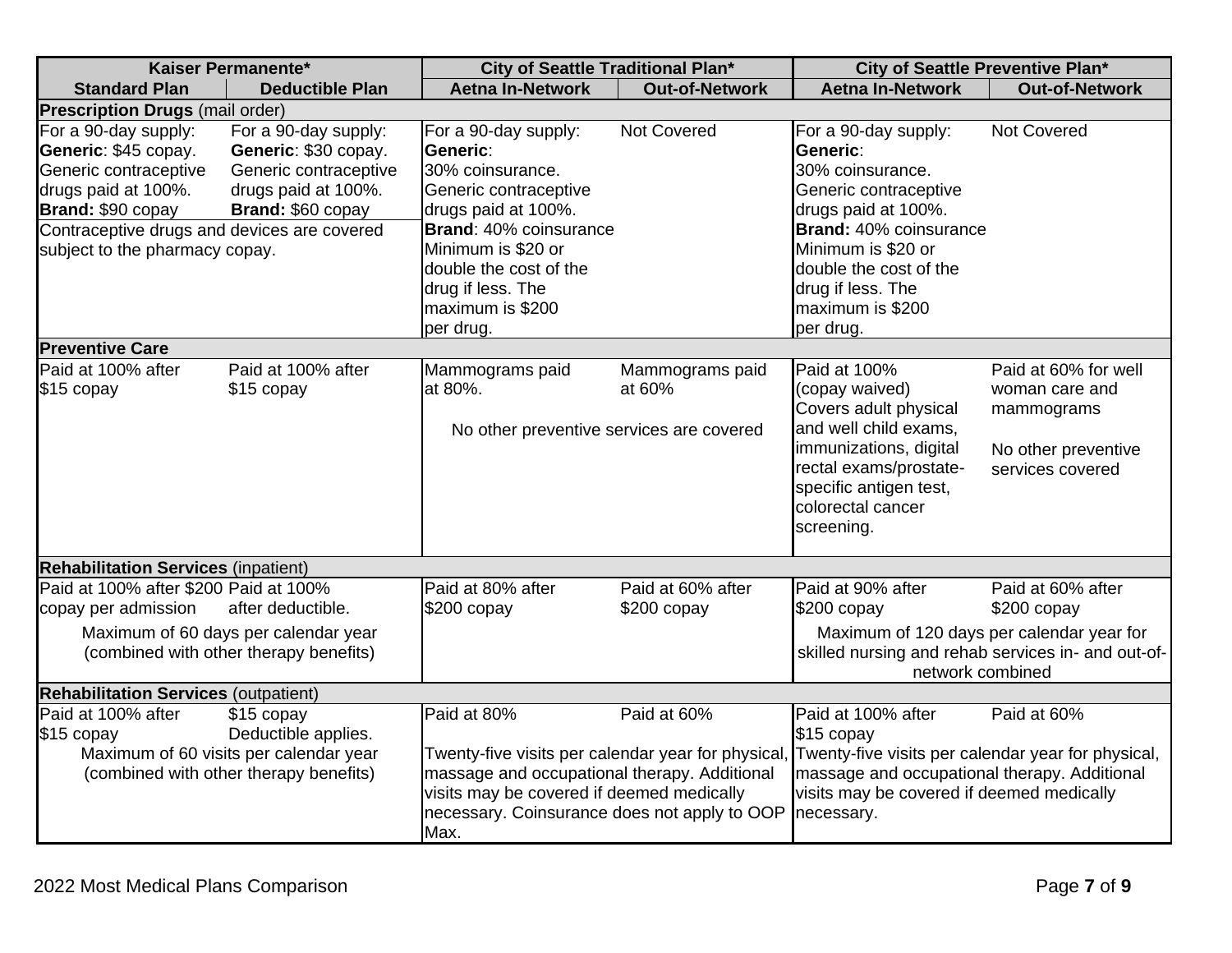| Kaiser Permanente*                                                                                                                                               |                                                                                                                       | City of Seattle Traditional Plan*                                                                                                                                                                                     |                                   | City of Seattle Preventive Plan*                                                                                                                                                                   |                                                      |
|------------------------------------------------------------------------------------------------------------------------------------------------------------------|-----------------------------------------------------------------------------------------------------------------------|-----------------------------------------------------------------------------------------------------------------------------------------------------------------------------------------------------------------------|-----------------------------------|----------------------------------------------------------------------------------------------------------------------------------------------------------------------------------------------------|------------------------------------------------------|
| <b>Standard Plan</b>                                                                                                                                             | <b>Deductible Plan</b>                                                                                                | <b>Aetna In-Network</b>                                                                                                                                                                                               | <b>Out-of-Network</b>             | <b>Aetna In-Network</b>                                                                                                                                                                            | <b>Out-of-Network</b>                                |
| <b>Prescription Drugs (mail order)</b>                                                                                                                           |                                                                                                                       |                                                                                                                                                                                                                       |                                   |                                                                                                                                                                                                    |                                                      |
| For a 90-day supply:<br>Generic: \$45 copay.<br>Generic contraceptive<br>drugs paid at 100%.<br>Brand: \$90 copay<br>Contraceptive drugs and devices are covered | For a 90-day supply:<br>Generic: \$30 copay.<br>Generic contraceptive<br>drugs paid at 100%.<br>Brand: \$60 copay     | For a 90-day supply:<br>Generic:<br>30% coinsurance.<br>Generic contraceptive<br>drugs paid at 100%.<br>Brand: 40% coinsurance                                                                                        | <b>Not Covered</b>                | For a 90-day supply:<br>Generic:<br>30% coinsurance.<br>Generic contraceptive<br>drugs paid at 100%.<br><b>Brand:</b> 40% coinsurance                                                              | Not Covered                                          |
| subject to the pharmacy copay.                                                                                                                                   |                                                                                                                       | Minimum is \$20 or<br>double the cost of the<br>drug if less. The<br>maximum is \$200<br>per drug.                                                                                                                    |                                   | Minimum is \$20 or<br>double the cost of the<br>drug if less. The<br>maximum is \$200<br>per drug.                                                                                                 |                                                      |
| <b>Preventive Care</b>                                                                                                                                           |                                                                                                                       |                                                                                                                                                                                                                       |                                   |                                                                                                                                                                                                    |                                                      |
| Paid at 100% after<br>\$15 copay                                                                                                                                 | Paid at 100% after<br>\$15 copay                                                                                      | Mammograms paid<br>at 80%.                                                                                                                                                                                            | Mammograms paid<br>at 60%         | Paid at 100%<br>(copay waived)<br>Covers adult physical                                                                                                                                            | Paid at 60% for well<br>woman care and<br>mammograms |
|                                                                                                                                                                  |                                                                                                                       | No other preventive services are covered                                                                                                                                                                              |                                   | and well child exams,<br>immunizations, digital<br>rectal exams/prostate-<br>specific antigen test,<br>colorectal cancer<br>screening.                                                             | No other preventive<br>services covered              |
| <b>Rehabilitation Services (inpatient)</b>                                                                                                                       |                                                                                                                       |                                                                                                                                                                                                                       |                                   |                                                                                                                                                                                                    |                                                      |
| Paid at 100% after \$200 Paid at 100%<br>copay per admission                                                                                                     | after deductible.                                                                                                     | Paid at 80% after<br>$$200$ copay                                                                                                                                                                                     | Paid at 60% after<br>$$200$ copay | Paid at 90% after<br>\$200 copay                                                                                                                                                                   | Paid at 60% after<br>$$200$ copay                    |
|                                                                                                                                                                  | Maximum of 60 days per calendar year<br>(combined with other therapy benefits)                                        |                                                                                                                                                                                                                       |                                   | Maximum of 120 days per calendar year for<br>skilled nursing and rehab services in- and out-of-<br>network combined                                                                                |                                                      |
| <b>Rehabilitation Services (outpatient)</b>                                                                                                                      |                                                                                                                       |                                                                                                                                                                                                                       |                                   |                                                                                                                                                                                                    |                                                      |
| Paid at 100% after<br>\$15 copay                                                                                                                                 | \$15 copay<br>Deductible applies.<br>Maximum of 60 visits per calendar year<br>(combined with other therapy benefits) | Paid at 80%<br>Twenty-five visits per calendar year for physical<br>massage and occupational therapy. Additional<br>visits may be covered if deemed medically<br>necessary. Coinsurance does not apply to OOP<br>Max. | Paid at 60%                       | Paid at 100% after<br>$$15$ copay<br>Twenty-five visits per calendar year for physical,<br>massage and occupational therapy. Additional<br>visits may be covered if deemed medically<br>necessary. | Paid at 60%                                          |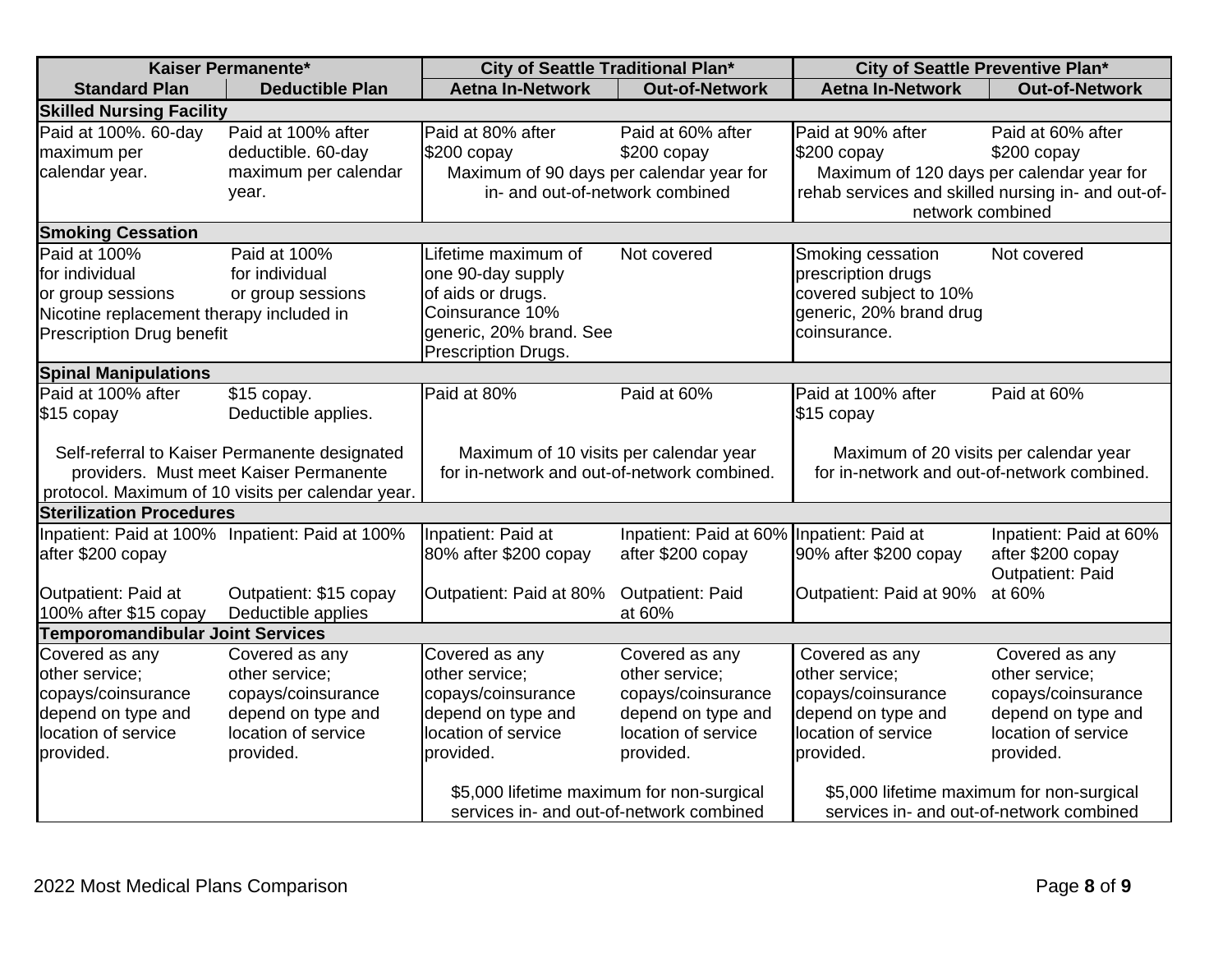| Kaiser Permanente*                       |                                                                                         | City of Seattle Traditional Plan*                                                     |                                           | City of Seattle Preventive Plan*                                                      |                        |
|------------------------------------------|-----------------------------------------------------------------------------------------|---------------------------------------------------------------------------------------|-------------------------------------------|---------------------------------------------------------------------------------------|------------------------|
| <b>Standard Plan</b>                     | <b>Deductible Plan</b>                                                                  | <b>Aetna In-Network</b>                                                               | <b>Out-of-Network</b>                     | <b>Aetna In-Network</b>                                                               | <b>Out-of-Network</b>  |
| <b>Skilled Nursing Facility</b>          |                                                                                         |                                                                                       |                                           |                                                                                       |                        |
| Paid at 100%. 60-day                     | Paid at 100% after                                                                      | Paid at 80% after                                                                     | Paid at 60% after                         | Paid at 90% after                                                                     | Paid at 60% after      |
| maximum per                              | deductible. 60-day                                                                      | $$200$ copay                                                                          | $$200$ copay                              | $$200$ copay                                                                          | $$200$ copay           |
| calendar year.                           | maximum per calendar                                                                    | Maximum of 90 days per calendar year for                                              |                                           | Maximum of 120 days per calendar year for                                             |                        |
|                                          | year.                                                                                   | in- and out-of-network combined                                                       |                                           | rehab services and skilled nursing in- and out-of-                                    |                        |
|                                          |                                                                                         |                                                                                       |                                           | network combined                                                                      |                        |
| <b>Smoking Cessation</b>                 |                                                                                         |                                                                                       |                                           |                                                                                       |                        |
| Paid at 100%                             | Paid at 100%                                                                            | Lifetime maximum of                                                                   | Not covered                               | Smoking cessation                                                                     | Not covered            |
| for individual                           | for individual                                                                          | one 90-day supply                                                                     |                                           | prescription drugs                                                                    |                        |
| or group sessions                        | or group sessions                                                                       | of aids or drugs.                                                                     |                                           | covered subject to 10%                                                                |                        |
| Nicotine replacement therapy included in |                                                                                         | Coinsurance 10%                                                                       |                                           | generic, 20% brand drug                                                               |                        |
| <b>Prescription Drug benefit</b>         |                                                                                         | generic, 20% brand. See                                                               |                                           | coinsurance.                                                                          |                        |
|                                          |                                                                                         | Prescription Drugs.                                                                   |                                           |                                                                                       |                        |
| <b>Spinal Manipulations</b>              |                                                                                         |                                                                                       |                                           |                                                                                       |                        |
| Paid at 100% after                       | \$15 copay.                                                                             | Paid at 80%                                                                           | Paid at 60%                               | Paid at 100% after                                                                    | Paid at 60%            |
| \$15 copay                               | Deductible applies.                                                                     |                                                                                       |                                           | \$15 copay                                                                            |                        |
|                                          |                                                                                         |                                                                                       |                                           |                                                                                       |                        |
|                                          | Self-referral to Kaiser Permanente designated<br>providers. Must meet Kaiser Permanente | Maximum of 10 visits per calendar year<br>for in-network and out-of-network combined. |                                           | Maximum of 20 visits per calendar year<br>for in-network and out-of-network combined. |                        |
|                                          | protocol. Maximum of 10 visits per calendar year.                                       |                                                                                       |                                           |                                                                                       |                        |
| <b>Sterilization Procedures</b>          |                                                                                         |                                                                                       |                                           |                                                                                       |                        |
|                                          | Inpatient: Paid at 100% Inpatient: Paid at 100%                                         | Inpatient: Paid at                                                                    | Inpatient: Paid at 60% Inpatient: Paid at |                                                                                       | Inpatient: Paid at 60% |
| after \$200 copay                        |                                                                                         | 80% after \$200 copay                                                                 | after \$200 copay                         | 90% after \$200 copay                                                                 | after \$200 copay      |
|                                          |                                                                                         |                                                                                       |                                           |                                                                                       | Outpatient: Paid       |
| Outpatient: Paid at                      | Outpatient: \$15 copay                                                                  | Outpatient: Paid at 80%                                                               | <b>Outpatient: Paid</b>                   | Outpatient: Paid at 90%                                                               | at 60%                 |
| 100% after \$15 copay                    | Deductible applies                                                                      |                                                                                       | at 60%                                    |                                                                                       |                        |
| <b>Temporomandibular Joint Services</b>  |                                                                                         |                                                                                       |                                           |                                                                                       |                        |
| Covered as any                           | Covered as any                                                                          | Covered as any                                                                        | Covered as any                            | Covered as any                                                                        | Covered as any         |
| other service;                           | other service;                                                                          | other service;                                                                        | other service;                            | other service;                                                                        | other service;         |
| copays/coinsurance                       | copays/coinsurance                                                                      | copays/coinsurance                                                                    | copays/coinsurance                        | copays/coinsurance                                                                    | copays/coinsurance     |
| depend on type and                       | depend on type and                                                                      | depend on type and                                                                    | depend on type and                        | depend on type and                                                                    | depend on type and     |
| location of service                      | location of service                                                                     | location of service                                                                   | location of service                       | location of service                                                                   | location of service    |
| provided.                                | provided.                                                                               | provided.                                                                             | provided.                                 | provided.                                                                             | provided.              |
|                                          |                                                                                         |                                                                                       |                                           |                                                                                       |                        |
|                                          |                                                                                         | \$5,000 lifetime maximum for non-surgical                                             |                                           | \$5,000 lifetime maximum for non-surgical                                             |                        |
|                                          |                                                                                         | services in- and out-of-network combined                                              |                                           | services in- and out-of-network combined                                              |                        |